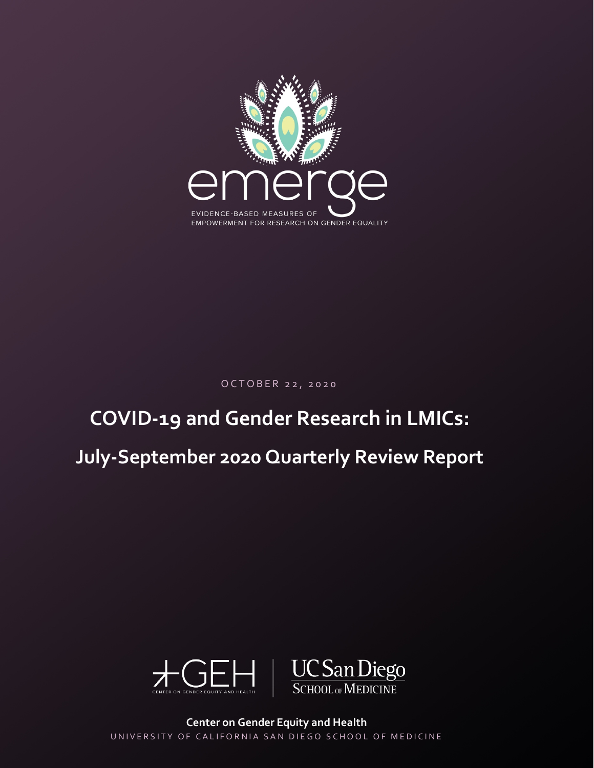

OCTOBER 2 2 , 2020

# **COVID-19 and Gender Research in LMICs:**

## **July-September 2020 Quarterly Review Report**



**Center on Gender Equity and Health** UNIVERSITY OF CALIFORNIA SAN DIEGO SCHOOL OF MEDICINE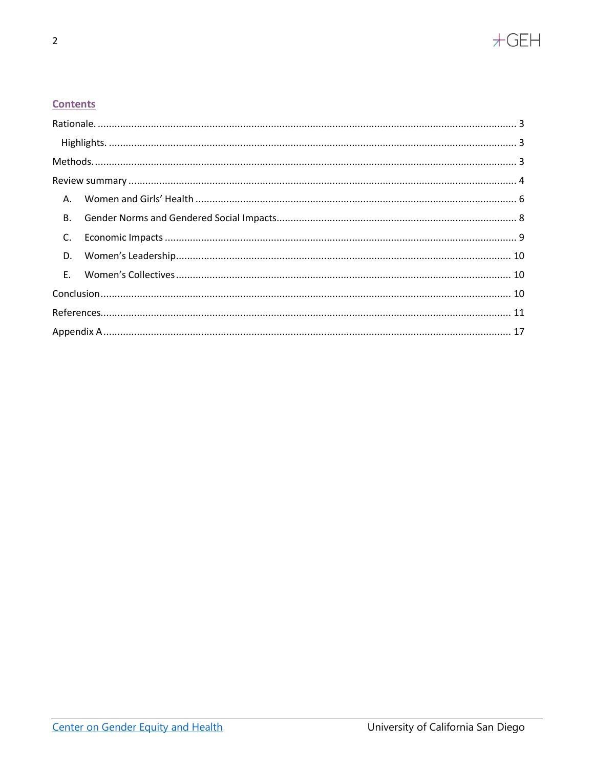

### **Contents**

| C. |  |  |  |  |  |
|----|--|--|--|--|--|
|    |  |  |  |  |  |
|    |  |  |  |  |  |
|    |  |  |  |  |  |
|    |  |  |  |  |  |
|    |  |  |  |  |  |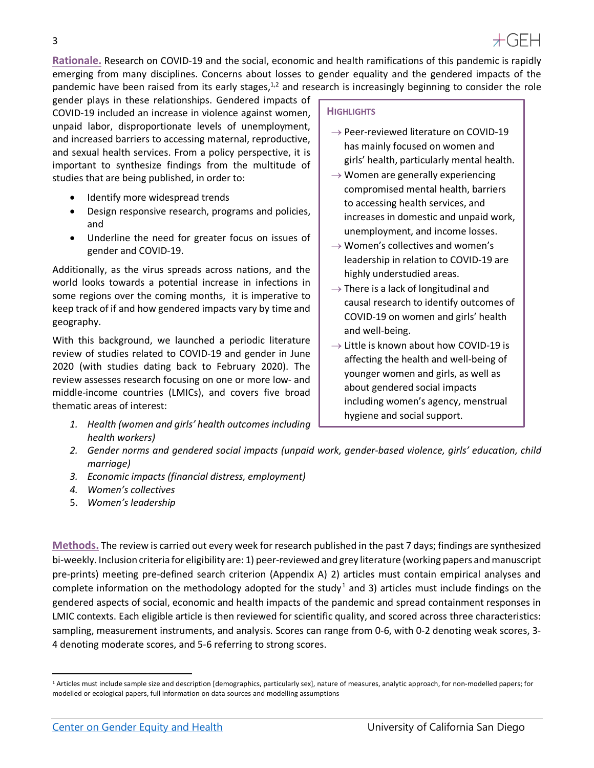<span id="page-2-0"></span>**Rationale.** Research on COVID-19 and the social, economic and health ramifications of this pandemic is rapidly emerging from many disciplines. Concerns about losses to gender equality and the gendered impacts of the pandemic have been raised from its early stages,<sup>1,2</sup> and research is increasingly beginning to consider the role

gender plays in these relationships. Gendered impacts of COVID-19 included an increase in violence against women, unpaid labor, disproportionate levels of unemployment, and increased barriers to accessing maternal, reproductive, and sexual health services. From a policy perspective, it is important to synthesize findings from the multitude of studies that are being published, in order to:

- Identify more widespread trends
- Design responsive research, programs and policies, and
- Underline the need for greater focus on issues of gender and COVID-19.

Additionally, as the virus spreads across nations, and the world looks towards a potential increase in infections in some regions over the coming months, it is imperative to keep track of if and how gendered impacts vary by time and geography.

With this background, we launched a periodic literature review of studies related to COVID-19 and gender in June 2020 (with studies dating back to February 2020). The review assesses research focusing on one or more low- and middle-income countries (LMICs), and covers five broad thematic areas of interest:

*1. Health (women and girls' health outcomes including health workers)*

#### **HIGHLIGHTS**

- $\rightarrow$  Peer-reviewed literature on COVID-19 has mainly focused on women and girls' health, particularly mental health.
- $\rightarrow$  Women are generally experiencing compromised mental health, barriers to accessing health services, and increases in domestic and unpaid work, unemployment, and income losses.
- $\rightarrow$  Women's collectives and women's leadership in relation to COVID-19 are highly understudied areas.
- $\rightarrow$  There is a lack of longitudinal and causal research to identify outcomes of COVID-19 on women and girls' health and well-being.
- $\rightarrow$  Little is known about how COVID-19 is affecting the health and well-being of younger women and girls, as well as about gendered social impacts including women's agency, menstrual hygiene and social support.
- *2. Gender norms and gendered social impacts (unpaid work, gender-based violence, girls' education, child marriage)*
- *3. Economic impacts (financial distress, employment)*
- *4. Women's collectives*
- 5. *Women's leadership*

<span id="page-2-1"></span>**Methods.** The review is carried out every week for research published in the past 7 days; findings are synthesized bi-weekly. Inclusion criteria for eligibility are: 1) peer-reviewed and grey literature (working papers and manuscript pre-prints) meeting pre-defined search criterion (Appendix A) 2) articles must contain empirical analyses and complete information on the methodology adopted for the study<sup>[1](#page-2-2)</sup> and 3) articles must include findings on the gendered aspects of social, economic and health impacts of the pandemic and spread containment responses in LMIC contexts. Each eligible article is then reviewed for scientific quality, and scored across three characteristics: sampling, measurement instruments, and analysis. Scores can range from 0-6, with 0-2 denoting weak scores, 3- 4 denoting moderate scores, and 5-6 referring to strong scores.

<span id="page-2-2"></span><sup>&</sup>lt;sup>1</sup> Articles must include sample size and description [demographics, particularly sex], nature of measures, analytic approach, for non-modelled papers; for modelled or ecological papers, full information on data sources and modelling assumptions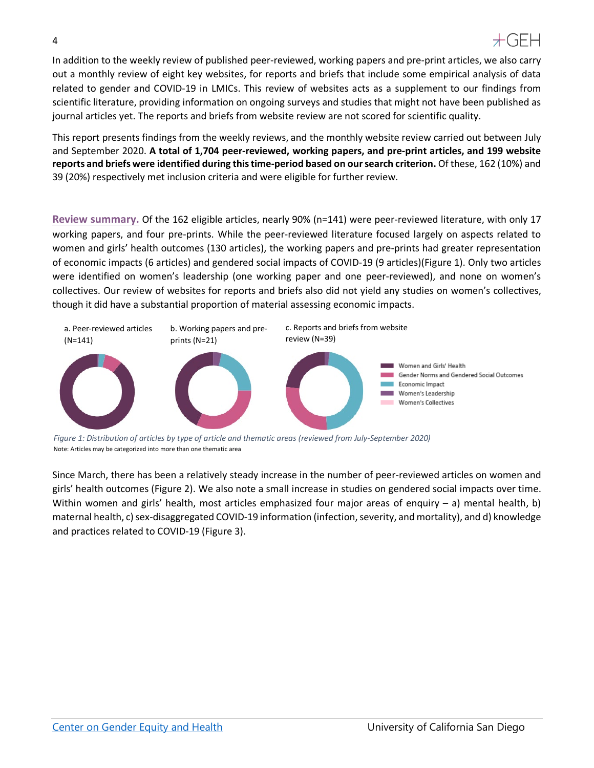In addition to the weekly review of published peer-reviewed, working papers and pre-print articles, we also carry out a monthly review of eight key websites, for reports and briefs that include some empirical analysis of data related to gender and COVID-19 in LMICs. This review of websites acts as a supplement to our findings from scientific literature, providing information on ongoing surveys and studies that might not have been published as journal articles yet. The reports and briefs from website review are not scored for scientific quality.

This report presents findings from the weekly reviews, and the monthly website review carried out between July and September 2020. **A total of 1,704 peer-reviewed, working papers, and pre-print articles, and 199 website reports and briefs were identified during this time-period based on our search criterion.** Of these, 162 (10%) and 39 (20%) respectively met inclusion criteria and were eligible for further review.

<span id="page-3-0"></span>**Review summary.** Of the 162 eligible articles, nearly 90% (n=141) were peer-reviewed literature, with only 17 working papers, and four pre-prints. While the peer-reviewed literature focused largely on aspects related to women and girls' health outcomes (130 articles), the working papers and pre-prints had greater representation of economic impacts (6 articles) and gendered social impacts of COVID-19 (9 articles)(Figure 1). Only two articles were identified on women's leadership (one working paper and one peer-reviewed), and none on women's collectives. Our review of websites for reports and briefs also did not yield any studies on women's collectives, though it did have a substantial proportion of material assessing economic impacts.



*Figure 1: Distribution of articles by type of article and thematic areas (reviewed from July-September 2020)* Note: Articles may be categorized into more than one thematic area

Since March, there has been a relatively steady increase in the number of peer-reviewed articles on women and girls' health outcomes (Figure 2). We also note a small increase in studies on gendered social impacts over time. Within women and girls' health, most articles emphasized four major areas of enquiry – a) mental health, b) maternal health, c) sex-disaggregated COVID-19 information (infection, severity, and mortality), and d) knowledge and practices related to COVID-19 (Figure 3).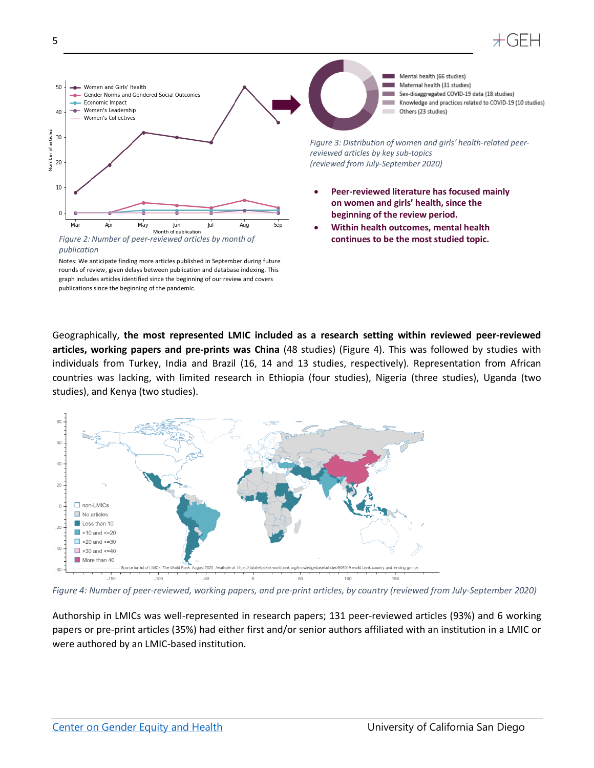



Notes: We anticipate finding more articles published in September during future rounds of review, given delays between publication and database indexing. This graph includes articles identified since the beginning of our review and covers publications since the beginning of the pandemic.

Geographically, **the most represented LMIC included as a research setting within reviewed peer-reviewed articles, working papers and pre-prints was China** (48 studies) (Figure 4). This was followed by studies with individuals from Turkey, India and Brazil (16, 14 and 13 studies, respectively). Representation from African countries was lacking, with limited research in Ethiopia (four studies), Nigeria (three studies), Uganda (two studies), and Kenya (two studies).



*Figure 4: Number of peer-reviewed, working papers, and pre-print articles, by country (reviewed from July-September 2020)*

Authorship in LMICs was well-represented in research papers; 131 peer-reviewed articles (93%) and 6 working papers or pre-print articles (35%) had either first and/or senior authors affiliated with an institution in a LMIC or were authored by an LMIC-based institution.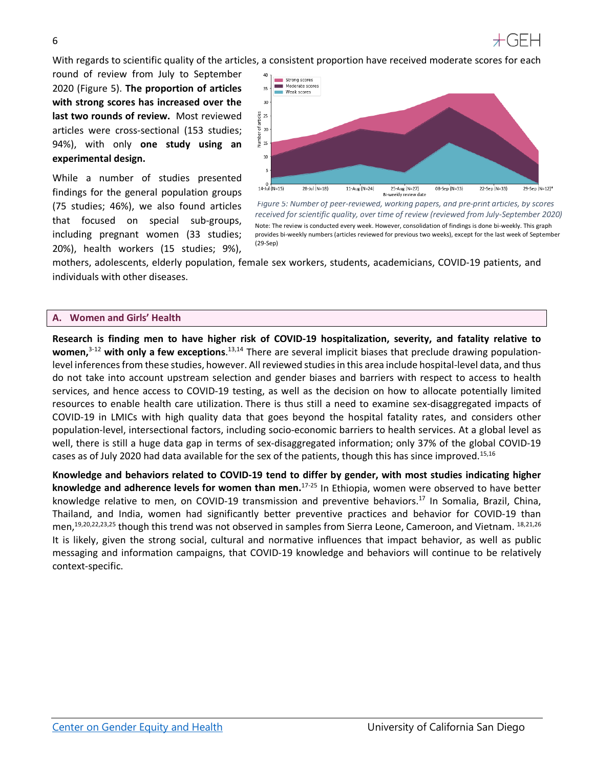

With regards to scientific quality of the articles, a consistent proportion have received moderate scores for each

round of review from July to September 2020 (Figure 5). **The proportion of articles with strong scores has increased over the last two rounds of review.** Most reviewed articles were cross-sectional (153 studies; 94%), with only **one study using an experimental design.**

While a number of studies presented findings for the general population groups (75 studies; 46%), we also found articles that focused on special sub-groups, including pregnant women (33 studies; 20%), health workers (15 studies; 9%),



*Figure 5: Number of peer-reviewed, working papers, and pre-print articles, by scores received for scientific quality, over time of review (reviewed from July-September 2020)* Note: The review is conducted every week. However, consolidation of findings is done bi-weekly. This graph provides bi-weekly numbers (articles reviewed for previous two weeks), except for the last week of September (29-Sep)

mothers, adolescents, elderly population, female sex workers, students, academicians, COVID-19 patients, and individuals with other diseases.

#### <span id="page-5-0"></span>**A. Women and Girls' Health**

**Research is finding men to have higher risk of COVID-19 hospitalization, severity, and fatality relative to**  women,<sup>3-12</sup> with only a few exceptions.<sup>13,14</sup> There are several implicit biases that preclude drawing populationlevel inferences from these studies, however. All reviewed studies in this area include hospital-level data, and thus do not take into account upstream selection and gender biases and barriers with respect to access to health services, and hence access to COVID-19 testing, as well as the decision on how to allocate potentially limited resources to enable health care utilization. There is thus still a need to examine sex-disaggregated impacts of COVID-19 in LMICs with high quality data that goes beyond the hospital fatality rates, and considers other population-level, intersectional factors, including socio-economic barriers to health services. At a global level as well, there is still a huge data gap in terms of sex-disaggregated information; only 37% of the global COVID-19 cases as of July 2020 had data available for the sex of the patients, though this has since improved.<sup>15,16</sup>

**Knowledge and behaviors related to COVID-19 tend to differ by gender, with most studies indicating higher knowledge and adherence levels for women than men.**17-25 In Ethiopia, women were observed to have better knowledge relative to men, on COVID-19 transmission and preventive behaviors. <sup>17</sup> In Somalia, Brazil, China, Thailand, and India, women had significantly better preventive practices and behavior for COVID-19 than men,<sup>19,20,22,23,25</sup> though this trend was not observed in samples from Sierra Leone, Cameroon, and Vietnam. <sup>18,21,26</sup> It is likely, given the strong social, cultural and normative influences that impact behavior, as well as public messaging and information campaigns, that COVID-19 knowledge and behaviors will continue to be relatively context-specific.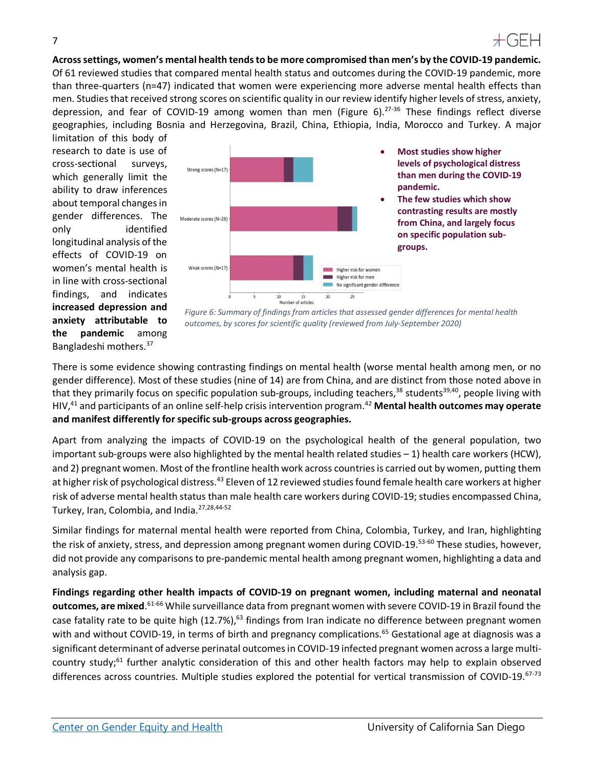**Across settings, women's mental health tends to be more compromised than men's by the COVID-19 pandemic.** Of 61 reviewed studies that compared mental health status and outcomes during the COVID-19 pandemic, more than three-quarters (n=47) indicated that women were experiencing more adverse mental health effects than men. Studies that received strong scores on scientific quality in our review identify higher levels of stress, anxiety, depression, and fear of COVID-19 among women than men (Figure 6).<sup>27-36</sup> These findings reflect diverse geographies, including Bosnia and Herzegovina, Brazil, China, Ethiopia, India, Morocco and Turkey. A major

limitation of this body of research to date is use of cross-sectional surveys, which generally limit the ability to draw inferences about temporal changes in gender differences. The only identified longitudinal analysis of the effects of COVID-19 on women's mental health is in line with cross-sectional findings, and indicates **increased depression and anxiety attributable to the pandemic** among Bangladeshi mothers.37



- **Most studies show higher levels of psychological distress than men during the COVID-19**
- **The few studies which show contrasting results are mostly from China, and largely focus on specific population sub-**



There is some evidence showing contrasting findings on mental health (worse mental health among men, or no gender difference). Most of these studies (nine of 14) are from China, and are distinct from those noted above in that they primarily focus on specific population sub-groups, including teachers,<sup>38</sup> students<sup>39,40</sup>, people living with HIV,41 and participants of an online self-help crisis intervention program.42 **Mental health outcomes may operate and manifest differently for specific sub-groups across geographies.**

Apart from analyzing the impacts of COVID-19 on the psychological health of the general population, two important sub-groups were also highlighted by the mental health related studies  $-1$ ) health care workers (HCW), and 2) pregnant women. Most of the frontline health work across countries is carried out by women, putting them at higher risk of psychological distress.<sup>43</sup> Eleven of 12 reviewed studies found female health care workers at higher risk of adverse mental health status than male health care workers during COVID-19; studies encompassed China, Turkey, Iran, Colombia, and India.27,28,44-52

Similar findings for maternal mental health were reported from China, Colombia, Turkey, and Iran, highlighting the risk of anxiety, stress, and depression among pregnant women during COVID-19.<sup>53-60</sup> These studies, however, did not provide any comparisons to pre-pandemic mental health among pregnant women, highlighting a data and analysis gap.

**Findings regarding other health impacts of COVID-19 on pregnant women, including maternal and neonatal outcomes, are mixed**. 61-66 While surveillance data from pregnant women with severe COVID-19 in Brazil found the case fatality rate to be quite high  $(12.7\%)$ ,<sup>63</sup> findings from Iran indicate no difference between pregnant women with and without COVID-19, in terms of birth and pregnancy complications.<sup>65</sup> Gestational age at diagnosis was a significant determinant of adverse perinatal outcomes in COVID-19 infected pregnant women across a large multicountry study;<sup>61</sup> further analytic consideration of this and other health factors may help to explain observed differences across countries. Multiple studies explored the potential for vertical transmission of COVID-19.<sup>67-73</sup>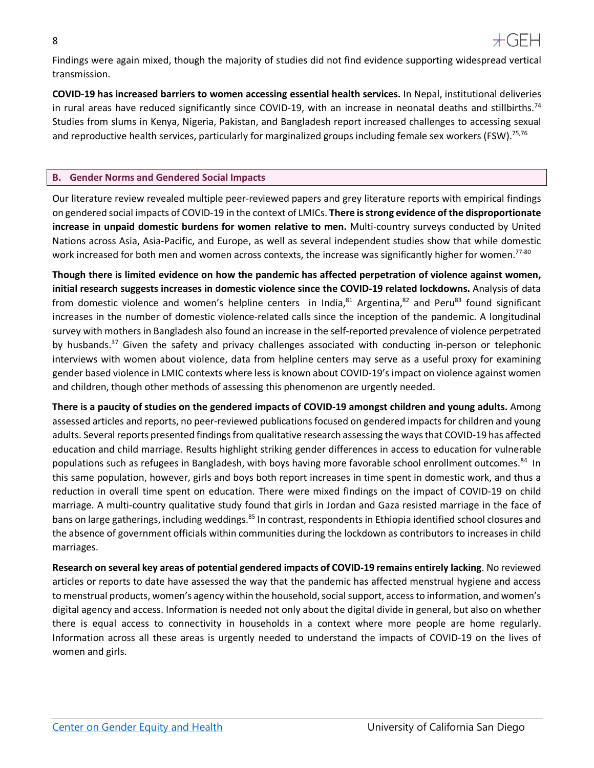

Findings were again mixed, though the majority of studies did not find evidence supporting widespread vertical transmission.

**COVID-19 has increased barriers to women accessing essential health services.** In Nepal, institutional deliveries in rural areas have reduced significantly since COVID-19, with an increase in neonatal deaths and stillbirths.<sup>74</sup> Studies from slums in Kenya, Nigeria, Pakistan, and Bangladesh report increased challenges to accessing sexual and reproductive health services, particularly for marginalized groups including female sex workers (FSW).<sup>75,76</sup>

#### <span id="page-7-0"></span>**B. Gender Norms and Gendered Social Impacts**

Our literature review revealed multiple peer-reviewed papers and grey literature reports with empirical findings on gendered social impacts of COVID-19 in the context of LMICs. **There is strong evidence of the disproportionate increase in unpaid domestic burdens for women relative to men.** Multi-country surveys conducted by United Nations across Asia, Asia-Pacific, and Europe, as well as several independent studies show that while domestic work increased for both men and women across contexts, the increase was significantly higher for women.<sup>77-80</sup>

**Though there is limited evidence on how the pandemic has affected perpetration of violence against women, initial research suggests increases in domestic violence since the COVID-19 related lockdowns.** Analysis of data from domestic violence and women's helpline centers in India, $81$  Argentina, $82$  and Peru $83$  found significant increases in the number of domestic violence-related calls since the inception of the pandemic. A longitudinal survey with mothers in Bangladesh also found an increase in the self-reported prevalence of violence perpetrated by husbands.<sup>37</sup> Given the safety and privacy challenges associated with conducting in-person or telephonic interviews with women about violence, data from helpline centers may serve as a useful proxy for examining gender based violence in LMIC contexts where less is known about COVID-19's impact on violence against women and children, though other methods of assessing this phenomenon are urgently needed.

**There is a paucity of studies on the gendered impacts of COVID-19 amongst children and young adults.** Among assessed articles and reports, no peer-reviewed publications focused on gendered impacts for children and young adults. Several reports presented findings from qualitative research assessing the ways that COVID-19 has affected education and child marriage. Results highlight striking gender differences in access to education for vulnerable populations such as refugees in Bangladesh, with boys having more favorable school enrollment outcomes.<sup>84</sup> In this same population, however, girls and boys both report increases in time spent in domestic work, and thus a reduction in overall time spent on education. There were mixed findings on the impact of COVID-19 on child marriage. A multi-country qualitative study found that girls in Jordan and Gaza resisted marriage in the face of bans on large gatherings, including weddings.<sup>85</sup> In contrast, respondents in Ethiopia identified school closures and the absence of government officials within communities during the lockdown as contributors to increases in child marriages.

**Research on several key areas of potential gendered impacts of COVID-19 remains entirely lacking**. No reviewed articles or reports to date have assessed the way that the pandemic has affected menstrual hygiene and access to menstrual products, women's agency within the household, social support, access to information, and women's digital agency and access. Information is needed not only about the digital divide in general, but also on whether there is equal access to connectivity in households in a context where more people are home regularly. Information across all these areas is urgently needed to understand the impacts of COVID-19 on the lives of women and girls.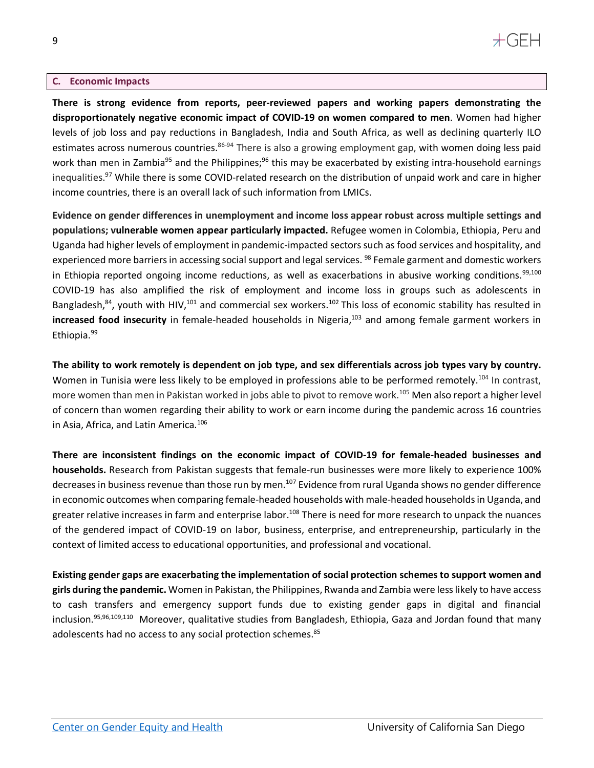### $+$ GFH

#### <span id="page-8-0"></span>**C. Economic Impacts**

**There is strong evidence from reports, peer-reviewed papers and working papers demonstrating the disproportionately negative economic impact of COVID-19 on women compared to men**. Women had higher levels of job loss and pay reductions in Bangladesh, India and South Africa, as well as declining quarterly ILO estimates across numerous countries.<sup>86-94</sup> There is also a growing employment gap, with women doing less paid work than men in Zambia<sup>95</sup> and the Philippines;<sup>96</sup> this may be exacerbated by existing intra-household earnings inequalities.<sup>97</sup> While there is some COVID-related research on the distribution of unpaid work and care in higher income countries, there is an overall lack of such information from LMICs.

**Evidence on gender differences in unemployment and income loss appear robust across multiple settings and populations; vulnerable women appear particularly impacted.** Refugee women in Colombia, Ethiopia, Peru and Uganda had higher levels of employment in pandemic-impacted sectors such as food services and hospitality, and experienced more barriers in accessing social support and legal services. <sup>98</sup> Female garment and domestic workers in Ethiopia reported ongoing income reductions, as well as exacerbations in abusive working conditions.<sup>99,100</sup> COVID-19 has also amplified the risk of employment and income loss in groups such as adolescents in Bangladesh,<sup>84</sup>, youth with HIV,<sup>101</sup> and commercial sex workers.<sup>102</sup> This loss of economic stability has resulted in **increased food insecurity** in female-headed households in Nigeria, <sup>103</sup> and among female garment workers in Ethiopia. 99

**The ability to work remotely is dependent on job type, and sex differentials across job types vary by country.** Women in Tunisia were less likely to be employed in professions able to be performed remotely.<sup>104</sup> In contrast, more women than men in Pakistan worked in jobs able to pivot to remove work.<sup>105</sup> Men also report a higher level of concern than women regarding their ability to work or earn income during the pandemic across 16 countries in Asia, Africa, and Latin America. 106

**There are inconsistent findings on the economic impact of COVID-19 for female-headed businesses and households.** Research from Pakistan suggests that female-run businesses were more likely to experience 100% decreases in business revenue than those run by men.<sup>107</sup> Evidence from rural Uganda shows no gender difference in economic outcomes when comparing female-headed households with male-headed households in Uganda, and greater relative increases in farm and enterprise labor.<sup>108</sup> There is need for more research to unpack the nuances of the gendered impact of COVID-19 on labor, business, enterprise, and entrepreneurship, particularly in the context of limited access to educational opportunities, and professional and vocational.

**Existing gender gaps are exacerbating the implementation of social protection schemes to support women and girls during the pandemic.** Women in Pakistan, the Philippines, Rwanda and Zambia were less likely to have access to cash transfers and emergency support funds due to existing gender gaps in digital and financial inclusion.95,96,109,110 Moreover, qualitative studies from Bangladesh, Ethiopia, Gaza and Jordan found that many adolescents had no access to any social protection schemes.<sup>85</sup>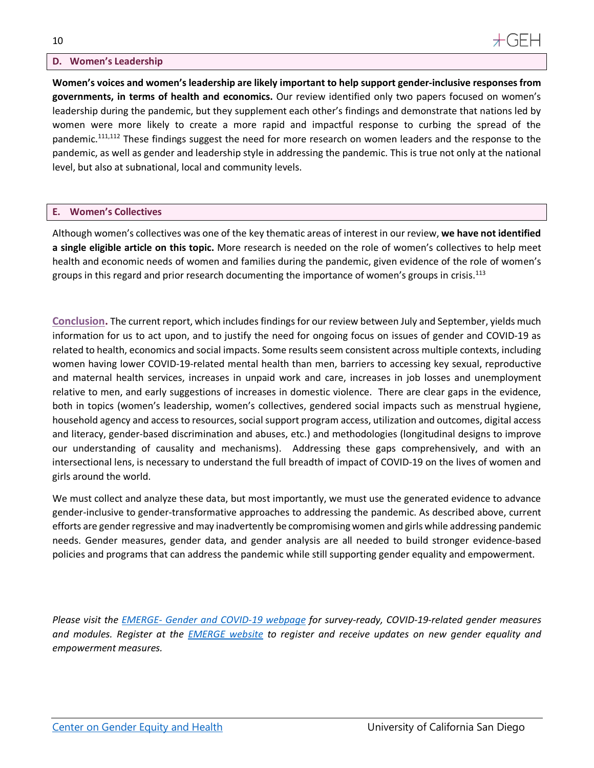#### <span id="page-9-0"></span>**D. Women's Leadership**

**Women's voices and women's leadership are likely important to help support gender-inclusive responses from governments, in terms of health and economics.** Our review identified only two papers focused on women's leadership during the pandemic, but they supplement each other's findings and demonstrate that nations led by women were more likely to create a more rapid and impactful response to curbing the spread of the pandemic.<sup>111,112</sup> These findings suggest the need for more research on women leaders and the response to the pandemic, as well as gender and leadership style in addressing the pandemic. This is true not only at the national level, but also at subnational, local and community levels.

#### <span id="page-9-1"></span>**E. Women's Collectives**

Although women's collectives was one of the key thematic areas of interest in our review, **we have not identified a single eligible article on this topic.** More research is needed on the role of women's collectives to help meet health and economic needs of women and families during the pandemic, given evidence of the role of women's groups in this regard and prior research documenting the importance of women's groups in crisis.<sup>113</sup>

<span id="page-9-2"></span>**Conclusion.** The current report, which includes findings for our review between July and September, yields much information for us to act upon, and to justify the need for ongoing focus on issues of gender and COVID-19 as related to health, economics and social impacts. Some results seem consistent across multiple contexts, including women having lower COVID-19-related mental health than men, barriers to accessing key sexual, reproductive and maternal health services, increases in unpaid work and care, increases in job losses and unemployment relative to men, and early suggestions of increases in domestic violence. There are clear gaps in the evidence, both in topics (women's leadership, women's collectives, gendered social impacts such as menstrual hygiene, household agency and access to resources, social support program access, utilization and outcomes, digital access and literacy, gender-based discrimination and abuses, etc.) and methodologies (longitudinal designs to improve our understanding of causality and mechanisms). Addressing these gaps comprehensively, and with an intersectional lens, is necessary to understand the full breadth of impact of COVID-19 on the lives of women and girls around the world.

We must collect and analyze these data, but most importantly, we must use the generated evidence to advance gender-inclusive to gender-transformative approaches to addressing the pandemic. As described above, current efforts are gender regressive and may inadvertently be compromising women and girls while addressing pandemic needs. Gender measures, gender data, and gender analysis are all needed to build stronger evidence-based policies and programs that can address the pandemic while still supporting gender equality and empowerment.

*Please visit the EMERGE- [Gender and COVID-19 webpage](http://emerge.ucsd.edu/covid-19/) for survey-ready, COVID-19-related gender measures and modules. Register at the [EMERGE website](https://emerge.ucsd.edu/) to register and receive updates on new gender equality and empowerment measures.*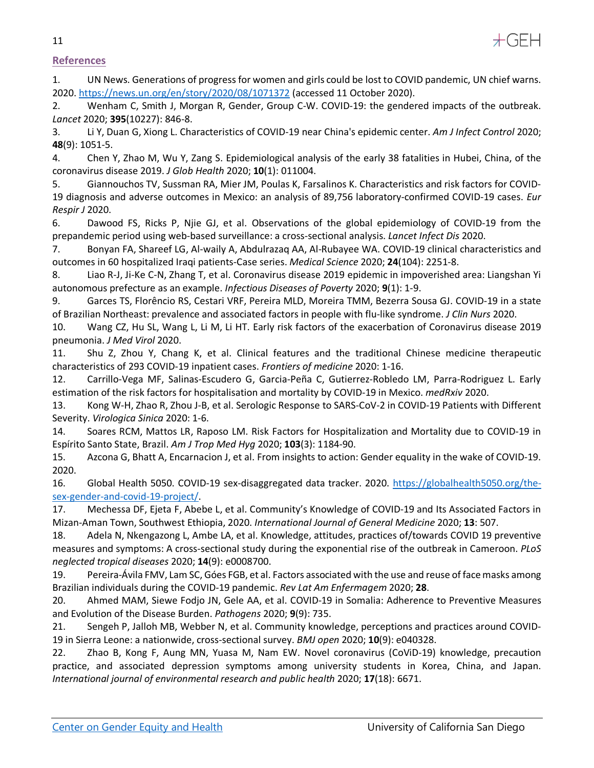

#### <span id="page-10-0"></span>**References**

1. UN News. Generations of progress for women and girls could be lost to COVID pandemic, UN chief warns. 2020.<https://news.un.org/en/story/2020/08/1071372> (accessed 11 October 2020).

2. Wenham C, Smith J, Morgan R, Gender, Group C-W. COVID-19: the gendered impacts of the outbreak. *Lancet* 2020; **395**(10227): 846-8.

3. Li Y, Duan G, Xiong L. Characteristics of COVID-19 near China's epidemic center. *Am J Infect Control* 2020; **48**(9): 1051-5.

4. Chen Y, Zhao M, Wu Y, Zang S. Epidemiological analysis of the early 38 fatalities in Hubei, China, of the coronavirus disease 2019. *J Glob Health* 2020; **10**(1): 011004.

5. Giannouchos TV, Sussman RA, Mier JM, Poulas K, Farsalinos K. Characteristics and risk factors for COVID-19 diagnosis and adverse outcomes in Mexico: an analysis of 89,756 laboratory-confirmed COVID-19 cases. *Eur Respir J* 2020.

6. Dawood FS, Ricks P, Njie GJ, et al. Observations of the global epidemiology of COVID-19 from the prepandemic period using web-based surveillance: a cross-sectional analysis. *Lancet Infect Dis* 2020.

7. Bonyan FA, Shareef LG, Al-waily A, Abdulrazaq AA, Al-Rubayee WA. COVID-19 clinical characteristics and outcomes in 60 hospitalized Iraqi patients-Case series. *Medical Science* 2020; **24**(104): 2251-8.

8. Liao R-J, Ji-Ke C-N, Zhang T, et al. Coronavirus disease 2019 epidemic in impoverished area: Liangshan Yi autonomous prefecture as an example. *Infectious Diseases of Poverty* 2020; **9**(1): 1-9.

9. Garces TS, Florêncio RS, Cestari VRF, Pereira MLD, Moreira TMM, Bezerra Sousa GJ. COVID-19 in a state of Brazilian Northeast: prevalence and associated factors in people with flu-like syndrome. *J Clin Nurs* 2020.

10. Wang CZ, Hu SL, Wang L, Li M, Li HT. Early risk factors of the exacerbation of Coronavirus disease 2019 pneumonia. *J Med Virol* 2020.

11. Shu Z, Zhou Y, Chang K, et al. Clinical features and the traditional Chinese medicine therapeutic characteristics of 293 COVID-19 inpatient cases. *Frontiers of medicine* 2020: 1-16.

12. Carrillo-Vega MF, Salinas-Escudero G, Garcia-Peña C, Gutierrez-Robledo LM, Parra-Rodriguez L. Early estimation of the risk factors for hospitalisation and mortality by COVID-19 in Mexico. *medRxiv* 2020.

13. Kong W-H, Zhao R, Zhou J-B, et al. Serologic Response to SARS-CoV-2 in COVID-19 Patients with Different Severity. *Virologica Sinica* 2020: 1-6.

14. Soares RCM, Mattos LR, Raposo LM. Risk Factors for Hospitalization and Mortality due to COVID-19 in Espírito Santo State, Brazil. *Am J Trop Med Hyg* 2020; **103**(3): 1184-90.

15. Azcona G, Bhatt A, Encarnacion J, et al. From insights to action: Gender equality in the wake of COVID-19. 2020.

16. Global Health 5050. COVID-19 sex-disaggregated data tracker. 2020. [https://globalhealth5050.org/the](https://globalhealth5050.org/the-sex-gender-and-covid-19-project/)[sex-gender-and-covid-19-project/.](https://globalhealth5050.org/the-sex-gender-and-covid-19-project/)

17. Mechessa DF, Ejeta F, Abebe L, et al. Community's Knowledge of COVID-19 and Its Associated Factors in Mizan-Aman Town, Southwest Ethiopia, 2020. *International Journal of General Medicine* 2020; **13**: 507.

18. Adela N, Nkengazong L, Ambe LA, et al. Knowledge, attitudes, practices of/towards COVID 19 preventive measures and symptoms: A cross-sectional study during the exponential rise of the outbreak in Cameroon. *PLoS neglected tropical diseases* 2020; **14**(9): e0008700.

19. Pereira-Ávila FMV, Lam SC, Góes FGB, et al. Factors associated with the use and reuse of face masks among Brazilian individuals during the COVID-19 pandemic. *Rev Lat Am Enfermagem* 2020; **28**.

20. Ahmed MAM, Siewe Fodjo JN, Gele AA, et al. COVID-19 in Somalia: Adherence to Preventive Measures and Evolution of the Disease Burden. *Pathogens* 2020; **9**(9): 735.

21. Sengeh P, Jalloh MB, Webber N, et al. Community knowledge, perceptions and practices around COVID-19 in Sierra Leone: a nationwide, cross-sectional survey. *BMJ open* 2020; **10**(9): e040328.

22. Zhao B, Kong F, Aung MN, Yuasa M, Nam EW. Novel coronavirus (CoViD-19) knowledge, precaution practice, and associated depression symptoms among university students in Korea, China, and Japan. *International journal of environmental research and public health* 2020; **17**(18): 6671.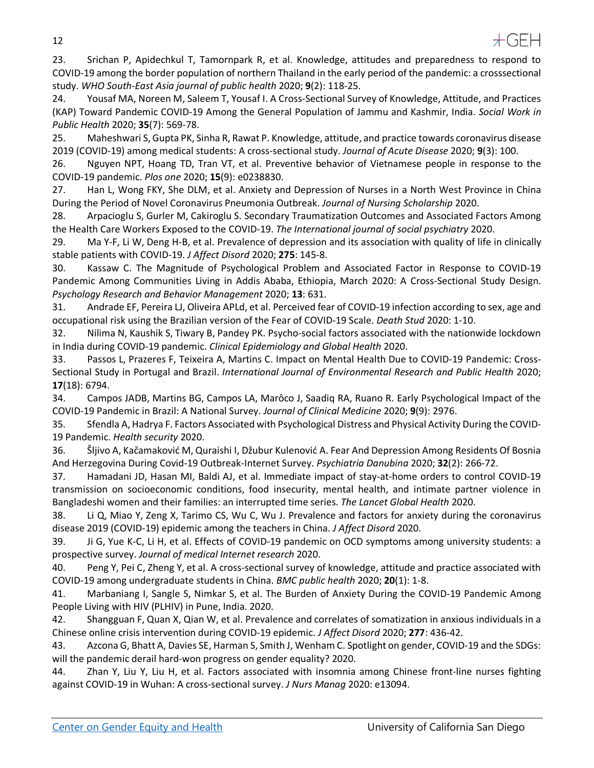

23. Srichan P, Apidechkul T, Tamornpark R, et al. Knowledge, attitudes and preparedness to respond to COVID-19 among the border population of northern Thailand in the early period of the pandemic: a crosssectional study. *WHO South-East Asia journal of public health* 2020; **9**(2): 118-25.

24. Yousaf MA, Noreen M, Saleem T, Yousaf I. A Cross-Sectional Survey of Knowledge, Attitude, and Practices (KAP) Toward Pandemic COVID-19 Among the General Population of Jammu and Kashmir, India. *Social Work in Public Health* 2020; **35**(7): 569-78.

25. Maheshwari S, Gupta PK, Sinha R, Rawat P. Knowledge, attitude, and practice towards coronavirus disease 2019 (COVID-19) among medical students: A cross-sectional study. *Journal of Acute Disease* 2020; **9**(3): 100.

26. Nguyen NPT, Hoang TD, Tran VT, et al. Preventive behavior of Vietnamese people in response to the COVID-19 pandemic. *Plos one* 2020; **15**(9): e0238830.

27. Han L, Wong FKY, She DLM, et al. Anxiety and Depression of Nurses in a North West Province in China During the Period of Novel Coronavirus Pneumonia Outbreak. *Journal of Nursing Scholarship* 2020.

28. Arpacioglu S, Gurler M, Cakiroglu S. Secondary Traumatization Outcomes and Associated Factors Among the Health Care Workers Exposed to the COVID-19. *The International journal of social psychiatry* 2020.

29. Ma Y-F, Li W, Deng H-B, et al. Prevalence of depression and its association with quality of life in clinically stable patients with COVID-19. *J Affect Disord* 2020; **275**: 145-8.

30. Kassaw C. The Magnitude of Psychological Problem and Associated Factor in Response to COVID-19 Pandemic Among Communities Living in Addis Ababa, Ethiopia, March 2020: A Cross-Sectional Study Design. *Psychology Research and Behavior Management* 2020; **13**: 631.

31. Andrade EF, Pereira LJ, Oliveira APLd, et al. Perceived fear of COVID-19 infection according to sex, age and occupational risk using the Brazilian version of the Fear of COVID-19 Scale. *Death Stud* 2020: 1-10.

32. Nilima N, Kaushik S, Tiwary B, Pandey PK. Psycho-social factors associated with the nationwide lockdown in India during COVID-19 pandemic. *Clinical Epidemiology and Global Health* 2020.

33. Passos L, Prazeres F, Teixeira A, Martins C. Impact on Mental Health Due to COVID-19 Pandemic: Cross-Sectional Study in Portugal and Brazil. *International Journal of Environmental Research and Public Health* 2020; **17**(18): 6794.

34. Campos JADB, Martins BG, Campos LA, Marôco J, Saadiq RA, Ruano R. Early Psychological Impact of the COVID-19 Pandemic in Brazil: A National Survey. *Journal of Clinical Medicine* 2020; **9**(9): 2976.

35. Sfendla A, Hadrya F. Factors Associated with Psychological Distress and Physical Activity During the COVID-19 Pandemic. *Health security* 2020.

36. Šljivo A, Kačamaković M, Quraishi I, Džubur Kulenović A. Fear And Depression Among Residents Of Bosnia And Herzegovina During Covid-19 Outbreak-Internet Survey. *Psychiatria Danubina* 2020; **32**(2): 266-72.

37. Hamadani JD, Hasan MI, Baldi AJ, et al. Immediate impact of stay-at-home orders to control COVID-19 transmission on socioeconomic conditions, food insecurity, mental health, and intimate partner violence in Bangladeshi women and their families: an interrupted time series. *The Lancet Global Health* 2020.

38. Li Q, Miao Y, Zeng X, Tarimo CS, Wu C, Wu J. Prevalence and factors for anxiety during the coronavirus disease 2019 (COVID-19) epidemic among the teachers in China. *J Affect Disord* 2020.

39. Ji G, Yue K-C, Li H, et al. Effects of COVID-19 pandemic on OCD symptoms among university students: a prospective survey. *Journal of medical Internet research* 2020.

40. Peng Y, Pei C, Zheng Y, et al. A cross-sectional survey of knowledge, attitude and practice associated with COVID-19 among undergraduate students in China. *BMC public health* 2020; **20**(1): 1-8.

41. Marbaniang I, Sangle S, Nimkar S, et al. The Burden of Anxiety During the COVID-19 Pandemic Among People Living with HIV (PLHIV) in Pune, India. 2020.

42. Shangguan F, Quan X, Qian W, et al. Prevalence and correlates of somatization in anxious individuals in a Chinese online crisis intervention during COVID-19 epidemic. *J Affect Disord* 2020; **277**: 436-42.

43. Azcona G, Bhatt A, Davies SE, Harman S, Smith J, Wenham C. Spotlight on gender, COVID-19 and the SDGs: will the pandemic derail hard-won progress on gender equality? 2020.

44. Zhan Y, Liu Y, Liu H, et al. Factors associated with insomnia among Chinese front-line nurses fighting against COVID-19 in Wuhan: A cross-sectional survey. *J Nurs Manag* 2020: e13094.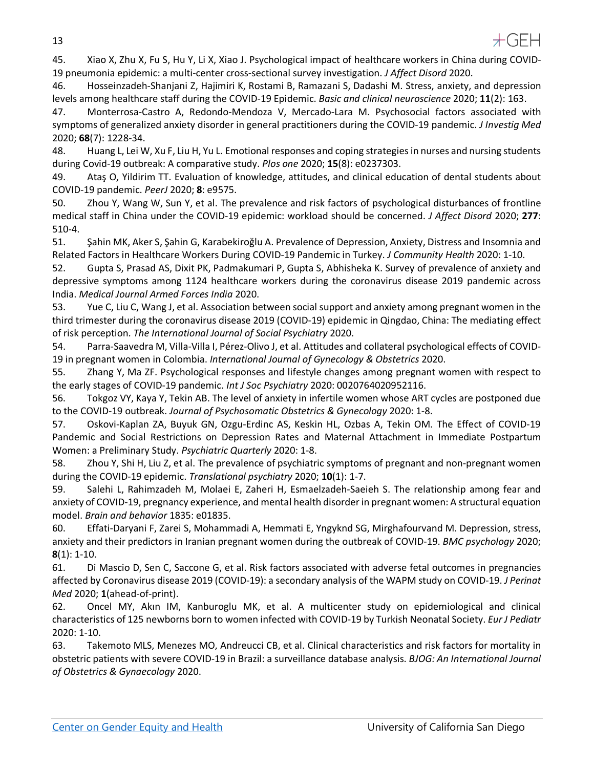

45. Xiao X, Zhu X, Fu S, Hu Y, Li X, Xiao J. Psychological impact of healthcare workers in China during COVID-19 pneumonia epidemic: a multi-center cross-sectional survey investigation. *J Affect Disord* 2020.

46. Hosseinzadeh-Shanjani Z, Hajimiri K, Rostami B, Ramazani S, Dadashi M. Stress, anxiety, and depression levels among healthcare staff during the COVID-19 Epidemic. *Basic and clinical neuroscience* 2020; **11**(2): 163.

47. Monterrosa-Castro A, Redondo-Mendoza V, Mercado-Lara M. Psychosocial factors associated with symptoms of generalized anxiety disorder in general practitioners during the COVID-19 pandemic. *J Investig Med* 2020; **68**(7): 1228-34.

48. Huang L, Lei W, Xu F, Liu H, Yu L. Emotional responses and coping strategies in nurses and nursing students during Covid-19 outbreak: A comparative study. *Plos one* 2020; **15**(8): e0237303.

49. Ataş O, Yildirim TT. Evaluation of knowledge, attitudes, and clinical education of dental students about COVID-19 pandemic. *PeerJ* 2020; **8**: e9575.

50. Zhou Y, Wang W, Sun Y, et al. The prevalence and risk factors of psychological disturbances of frontline medical staff in China under the COVID-19 epidemic: workload should be concerned. *J Affect Disord* 2020; **277**: 510-4.

51. Şahin MK, Aker S, Şahin G, Karabekiroğlu A. Prevalence of Depression, Anxiety, Distress and Insomnia and Related Factors in Healthcare Workers During COVID-19 Pandemic in Turkey. *J Community Health* 2020: 1-10.

52. Gupta S, Prasad AS, Dixit PK, Padmakumari P, Gupta S, Abhisheka K. Survey of prevalence of anxiety and depressive symptoms among 1124 healthcare workers during the coronavirus disease 2019 pandemic across India. *Medical Journal Armed Forces India* 2020.

53. Yue C, Liu C, Wang J, et al. Association between social support and anxiety among pregnant women in the third trimester during the coronavirus disease 2019 (COVID-19) epidemic in Qingdao, China: The mediating effect of risk perception. *The International Journal of Social Psychiatry* 2020.

54. Parra-Saavedra M, Villa-Villa I, Pérez-Olivo J, et al. Attitudes and collateral psychological effects of COVID-19 in pregnant women in Colombia. *International Journal of Gynecology & Obstetrics* 2020.

55. Zhang Y, Ma ZF. Psychological responses and lifestyle changes among pregnant women with respect to the early stages of COVID-19 pandemic. *Int J Soc Psychiatry* 2020: 0020764020952116.

56. Tokgoz VY, Kaya Y, Tekin AB. The level of anxiety in infertile women whose ART cycles are postponed due to the COVID-19 outbreak. *Journal of Psychosomatic Obstetrics & Gynecology* 2020: 1-8.

57. Oskovi-Kaplan ZA, Buyuk GN, Ozgu-Erdinc AS, Keskin HL, Ozbas A, Tekin OM. The Effect of COVID-19 Pandemic and Social Restrictions on Depression Rates and Maternal Attachment in Immediate Postpartum Women: a Preliminary Study. *Psychiatric Quarterly* 2020: 1-8.

58. Zhou Y, Shi H, Liu Z, et al. The prevalence of psychiatric symptoms of pregnant and non-pregnant women during the COVID-19 epidemic. *Translational psychiatry* 2020; **10**(1): 1-7.

59. Salehi L, Rahimzadeh M, Molaei E, Zaheri H, Esmaelzadeh-Saeieh S. The relationship among fear and anxiety of COVID-19, pregnancy experience, and mental health disorder in pregnant women: A structural equation model. *Brain and behavior* 1835: e01835.

60. Effati-Daryani F, Zarei S, Mohammadi A, Hemmati E, Yngyknd SG, Mirghafourvand M. Depression, stress, anxiety and their predictors in Iranian pregnant women during the outbreak of COVID-19. *BMC psychology* 2020; **8**(1): 1-10.

61. Di Mascio D, Sen C, Saccone G, et al. Risk factors associated with adverse fetal outcomes in pregnancies affected by Coronavirus disease 2019 (COVID-19): a secondary analysis of the WAPM study on COVID-19. *J Perinat Med* 2020; **1**(ahead-of-print).

62. Oncel MY, Akın IM, Kanburoglu MK, et al. A multicenter study on epidemiological and clinical characteristics of 125 newborns born to women infected with COVID-19 by Turkish Neonatal Society. *Eur J Pediatr* 2020: 1-10.

63. Takemoto MLS, Menezes MO, Andreucci CB, et al. Clinical characteristics and risk factors for mortality in obstetric patients with severe COVID-19 in Brazil: a surveillance database analysis. *BJOG: An International Journal of Obstetrics & Gynaecology* 2020.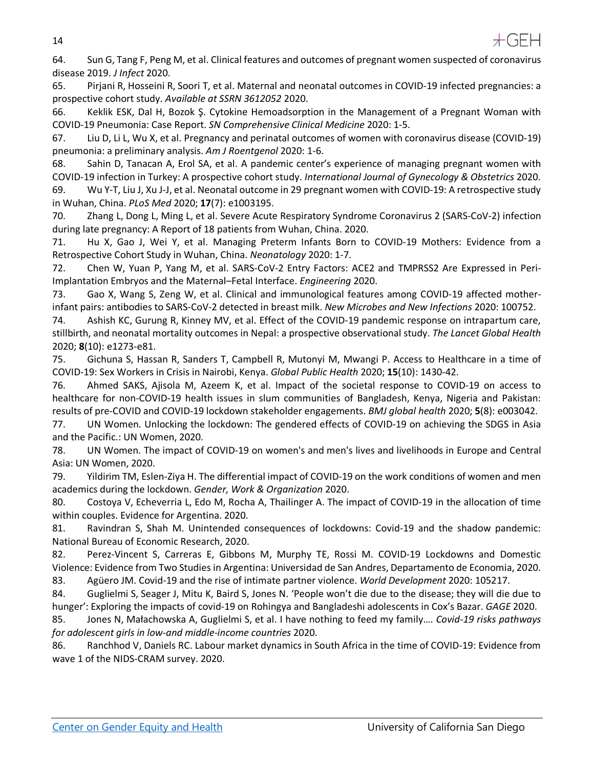14



64. Sun G, Tang F, Peng M, et al. Clinical features and outcomes of pregnant women suspected of coronavirus disease 2019. *J Infect* 2020.

65. Pirjani R, Hosseini R, Soori T, et al. Maternal and neonatal outcomes in COVID-19 infected pregnancies: a prospective cohort study. *Available at SSRN 3612052* 2020.

66. Keklik ESK, Dal H, Bozok Ş. Cytokine Hemoadsorption in the Management of a Pregnant Woman with COVID-19 Pneumonia: Case Report. *SN Comprehensive Clinical Medicine* 2020: 1-5.

67. Liu D, Li L, Wu X, et al. Pregnancy and perinatal outcomes of women with coronavirus disease (COVID-19) pneumonia: a preliminary analysis. *Am J Roentgenol* 2020: 1-6.

68. Sahin D, Tanacan A, Erol SA, et al. A pandemic center's experience of managing pregnant women with COVID-19 infection in Turkey: A prospective cohort study. *International Journal of Gynecology & Obstetrics* 2020. 69. Wu Y-T, Liu J, Xu J-J, et al. Neonatal outcome in 29 pregnant women with COVID-19: A retrospective study in Wuhan, China. *PLoS Med* 2020; **17**(7): e1003195.

70. Zhang L, Dong L, Ming L, et al. Severe Acute Respiratory Syndrome Coronavirus 2 (SARS-CoV-2) infection during late pregnancy: A Report of 18 patients from Wuhan, China. 2020.

71. Hu X, Gao J, Wei Y, et al. Managing Preterm Infants Born to COVID-19 Mothers: Evidence from a Retrospective Cohort Study in Wuhan, China. *Neonatology* 2020: 1-7.

72. Chen W, Yuan P, Yang M, et al. SARS-CoV-2 Entry Factors: ACE2 and TMPRSS2 Are Expressed in Peri-Implantation Embryos and the Maternal–Fetal Interface. *Engineering* 2020.

73. Gao X, Wang S, Zeng W, et al. Clinical and immunological features among COVID-19 affected motherinfant pairs: antibodies to SARS-CoV-2 detected in breast milk. *New Microbes and New Infections* 2020: 100752.

74. Ashish KC, Gurung R, Kinney MV, et al. Effect of the COVID-19 pandemic response on intrapartum care, stillbirth, and neonatal mortality outcomes in Nepal: a prospective observational study. *The Lancet Global Health* 2020; **8**(10): e1273-e81.

75. Gichuna S, Hassan R, Sanders T, Campbell R, Mutonyi M, Mwangi P. Access to Healthcare in a time of COVID-19: Sex Workers in Crisis in Nairobi, Kenya. *Global Public Health* 2020; **15**(10): 1430-42.

76. Ahmed SAKS, Ajisola M, Azeem K, et al. Impact of the societal response to COVID-19 on access to healthcare for non-COVID-19 health issues in slum communities of Bangladesh, Kenya, Nigeria and Pakistan: results of pre-COVID and COVID-19 lockdown stakeholder engagements. *BMJ global health* 2020; **5**(8): e003042.

77. UN Women. Unlocking the lockdown: The gendered effects of COVID-19 on achieving the SDGS in Asia and the Pacific.: UN Women, 2020.

78. UN Women. The impact of COVID-19 on women's and men's lives and livelihoods in Europe and Central Asia: UN Women, 2020.

79. Yildirim TM, Eslen-Ziya H. The differential impact of COVID-19 on the work conditions of women and men academics during the lockdown. *Gender, Work & Organization* 2020.

80. Costoya V, Echeverria L, Edo M, Rocha A, Thailinger A. The impact of COVID-19 in the allocation of time within couples. Evidence for Argentina. 2020.

81. Ravindran S, Shah M. Unintended consequences of lockdowns: Covid-19 and the shadow pandemic: National Bureau of Economic Research, 2020.

82. Perez-Vincent S, Carreras E, Gibbons M, Murphy TE, Rossi M. COVID-19 Lockdowns and Domestic Violence: Evidence from Two Studies in Argentina: Universidad de San Andres, Departamento de Economia, 2020.

83. Agüero JM. Covid-19 and the rise of intimate partner violence. *World Development* 2020: 105217.

84. Guglielmi S, Seager J, Mitu K, Baird S, Jones N. 'People won't die due to the disease; they will die due to hunger': Exploring the impacts of covid-19 on Rohingya and Bangladeshi adolescents in Cox's Bazar. *GAGE* 2020.

85. Jones N, Małachowska A, Guglielmi S, et al. I have nothing to feed my family…. *Covid-19 risks pathways for adolescent girls in low-and middle-income countries* 2020.

86. Ranchhod V, Daniels RC. Labour market dynamics in South Africa in the time of COVID-19: Evidence from wave 1 of the NIDS-CRAM survey. 2020.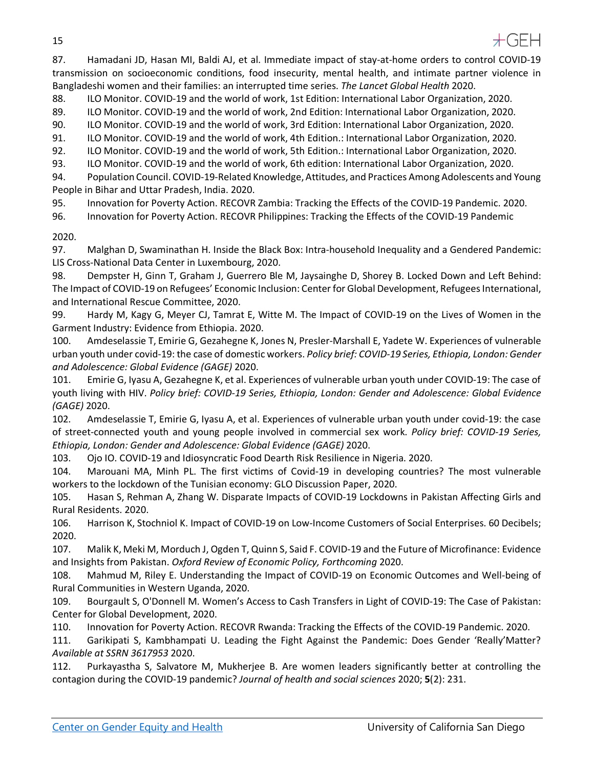15



87. Hamadani JD, Hasan MI, Baldi AJ, et al. Immediate impact of stay-at-home orders to control COVID-19 transmission on socioeconomic conditions, food insecurity, mental health, and intimate partner violence in Bangladeshi women and their families: an interrupted time series. *The Lancet Global Health* 2020.

88. ILO Monitor. COVID-19 and the world of work, 1st Edition: International Labor Organization, 2020.

89. ILO Monitor. COVID-19 and the world of work, 2nd Edition: International Labor Organization, 2020.

90. ILO Monitor. COVID-19 and the world of work, 3rd Edition: International Labor Organization, 2020.

91. ILO Monitor. COVID-19 and the world of work, 4th Edition.: International Labor Organization, 2020.

92. ILO Monitor. COVID-19 and the world of work, 5th Edition.: International Labor Organization, 2020.

93. ILO Monitor. COVID-19 and the world of work, 6th edition: International Labor Organization, 2020.

94. Population Council. COVID-19-Related Knowledge, Attitudes, and Practices Among Adolescents and Young People in Bihar and Uttar Pradesh, India. 2020.

95. Innovation for Poverty Action. RECOVR Zambia: Tracking the Effects of the COVID-19 Pandemic. 2020.

96. Innovation for Poverty Action. RECOVR Philippines: Tracking the Effects of the COVID-19 Pandemic

#### 2020.

97. Malghan D, Swaminathan H. Inside the Black Box: Intra-household Inequality and a Gendered Pandemic: LIS Cross-National Data Center in Luxembourg, 2020.

98. Dempster H, Ginn T, Graham J, Guerrero Ble M, Jaysainghe D, Shorey B. Locked Down and Left Behind: The Impact of COVID-19 on Refugees' Economic Inclusion: Center for Global Development, Refugees International, and International Rescue Committee, 2020.

99. Hardy M, Kagy G, Meyer CJ, Tamrat E, Witte M. The Impact of COVID-19 on the Lives of Women in the Garment Industry: Evidence from Ethiopia. 2020.

100. Amdeselassie T, Emirie G, Gezahegne K, Jones N, Presler-Marshall E, Yadete W. Experiences of vulnerable urban youth under covid-19: the case of domestic workers. *Policy brief: COVID-19 Series, Ethiopia, London: Gender and Adolescence: Global Evidence (GAGE)* 2020.

101. Emirie G, Iyasu A, Gezahegne K, et al. Experiences of vulnerable urban youth under COVID-19: The case of youth living with HIV. *Policy brief: COVID-19 Series, Ethiopia, London: Gender and Adolescence: Global Evidence (GAGE)* 2020.

102. Amdeselassie T, Emirie G, Iyasu A, et al. Experiences of vulnerable urban youth under covid-19: the case of street-connected youth and young people involved in commercial sex work. *Policy brief: COVID-19 Series, Ethiopia, London: Gender and Adolescence: Global Evidence (GAGE)* 2020.

103. Ojo IO. COVID-19 and Idiosyncratic Food Dearth Risk Resilience in Nigeria. 2020.

104. Marouani MA, Minh PL. The first victims of Covid-19 in developing countries? The most vulnerable workers to the lockdown of the Tunisian economy: GLO Discussion Paper, 2020.

105. Hasan S, Rehman A, Zhang W. Disparate Impacts of COVID-19 Lockdowns in Pakistan Affecting Girls and Rural Residents. 2020.

106. Harrison K, Stochniol K. Impact of COVID-19 on Low-Income Customers of Social Enterprises. 60 Decibels; 2020.

107. Malik K, Meki M, Morduch J, Ogden T, Quinn S, Said F. COVID-19 and the Future of Microfinance: Evidence and Insights from Pakistan. *Oxford Review of Economic Policy, Forthcoming* 2020.

108. Mahmud M, Riley E. Understanding the Impact of COVID-19 on Economic Outcomes and Well-being of Rural Communities in Western Uganda, 2020.

109. Bourgault S, O'Donnell M. Women's Access to Cash Transfers in Light of COVID-19: The Case of Pakistan: Center for Global Development, 2020.

110. Innovation for Poverty Action. RECOVR Rwanda: Tracking the Effects of the COVID-19 Pandemic. 2020.

111. Garikipati S, Kambhampati U. Leading the Fight Against the Pandemic: Does Gender 'Really'Matter? *Available at SSRN 3617953* 2020.

112. Purkayastha S, Salvatore M, Mukherjee B. Are women leaders significantly better at controlling the contagion during the COVID-19 pandemic? *Journal of health and social sciences* 2020; **5**(2): 231.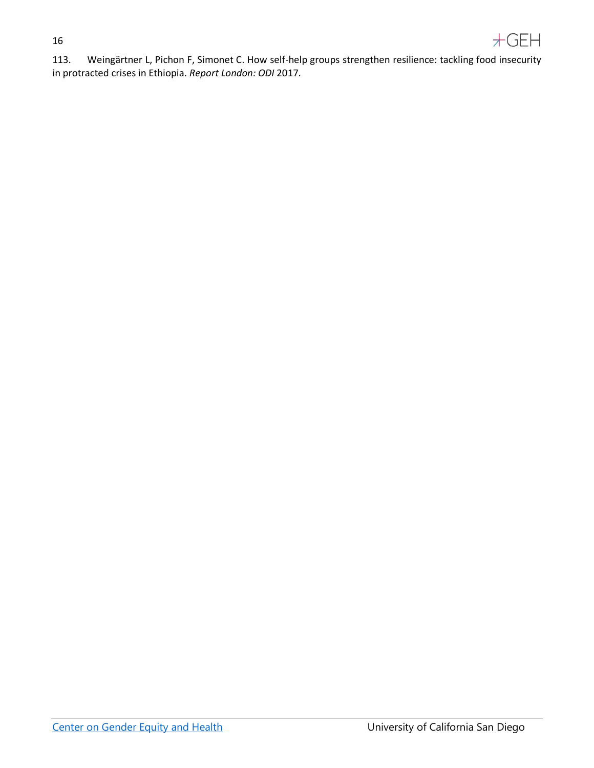#### 16



113. Weingärtner L, Pichon F, Simonet C. How self-help groups strengthen resilience: tackling food insecurity in protracted crises in Ethiopia. *Report London: ODI* 2017.